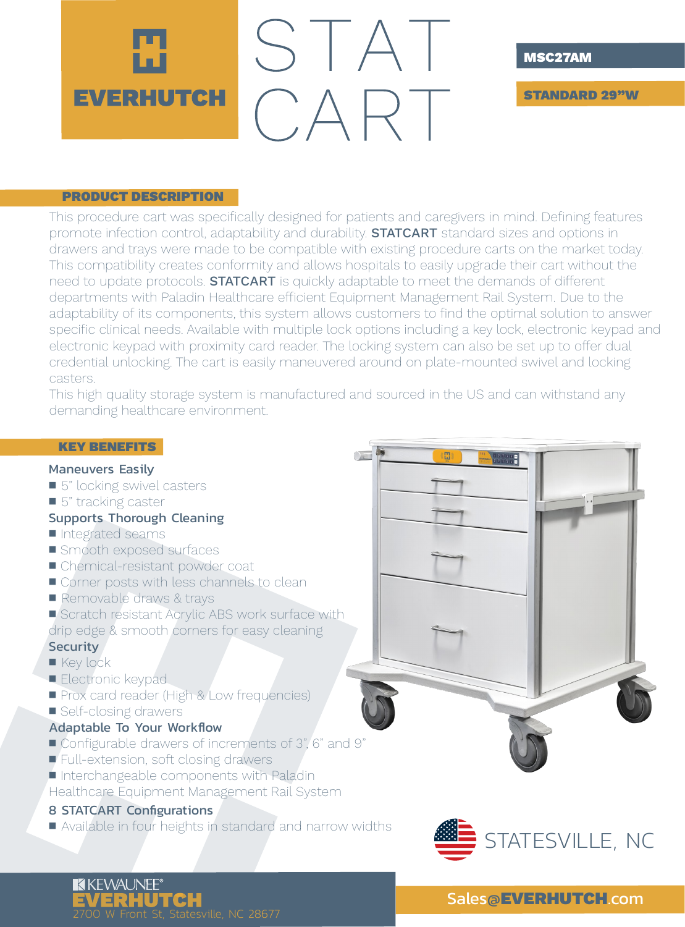

#### MSC27AM

STANDARD 29"W

#### PRODUCT DESCRIPTION

This procedure cart was specifically designed for patients and caregivers in mind. Defining features promote infection control, adaptability and durability. **STATCART** standard sizes and options in drawers and trays were made to be compatible with existing procedure carts on the market today. This compatibility creates conformity and allows hospitals to easily upgrade their cart without the need to update protocols. **STATCART** is quickly adaptable to meet the demands of different departments with Paladin Healthcare efficient Equipment Management Rail System. Due to the adaptability of its components, this system allows customers to find the optimal solution to answer specific clinical needs. Available with multiple lock options including a key lock, electronic keypad and electronic keypad with proximity card reader. The locking system can also be set up to offer dual credential unlocking. The cart is easily maneuvered around on plate-mounted swivel and locking casters.

This high quality storage system is manufactured and sourced in the US and can withstand any demanding healthcare environment.

# KEY BENEFITS

### Maneuvers Easily

- 5" locking swivel casters
- 5" tracking caster

#### Supports Thorough Cleaning

- Integrated seams
- Smooth exposed surfaces
- Chemical-resistant powder coat
- Corner posts with less channels to clean
- Removable draws & trays
- Scratch resistant Acrylic ABS work surface with
- drip edge & smooth corners for easy cleaning

# **Security**

- Key lock
- Electronic keypad
- **Prox card reader (High & Low frequencies)**
- Self-closing drawers

#### Adaptable To Your Workflow

- Configurable drawers of increments of 3", 6" and 9"
- Full-extension, soft closing drawers
- Interchangeable components with Paladin
- Healthcare Equipment Management Rail System

## 8 STATCART Configurations

■ Available in four heights in standard and narrow widths



H

# **KKEWAUNEE®** EVERHUTCH<br>2700 W Front St, Statesville, NC 28677

# Sales@EVERHUTCH.com